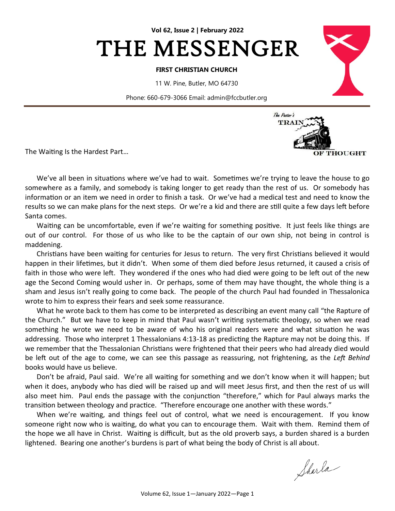

#### **FIRST CHRISTIAN CHURCH**

11 W. Pine, Butler, MO 64730

Phone: 660-679-3066 Email: admin@fccbutler.org

The Waiting Is the Hardest Part…



We've all been in situations where we've had to wait. Sometimes we're trying to leave the house to go somewhere as a family, and somebody is taking longer to get ready than the rest of us. Or somebody has information or an item we need in order to finish a task. Or we've had a medical test and need to know the results so we can make plans for the next steps. Or we're a kid and there are still quite a few days left before Santa comes.

Waiting can be uncomfortable, even if we're waiting for something positive. It just feels like things are out of our control. For those of us who like to be the captain of our own ship, not being in control is maddening.

Christians have been waiting for centuries for Jesus to return. The very first Christians believed it would happen in their lifetimes, but it didn't. When some of them died before Jesus returned, it caused a crisis of faith in those who were left. They wondered if the ones who had died were going to be left out of the new age the Second Coming would usher in. Or perhaps, some of them may have thought, the whole thing is a sham and Jesus isn't really going to come back. The people of the church Paul had founded in Thessalonica wrote to him to express their fears and seek some reassurance.

What he wrote back to them has come to be interpreted as describing an event many call "the Rapture of the Church." But we have to keep in mind that Paul wasn't writing systematic theology, so when we read something he wrote we need to be aware of who his original readers were and what situation he was addressing. Those who interpret 1 Thessalonians 4:13-18 as predicting the Rapture may not be doing this. If we remember that the Thessalonian Christians were frightened that their peers who had already died would be left out of the age to come, we can see this passage as reassuring, not frightening, as the *Left Behind* books would have us believe.

Don't be afraid, Paul said. We're all waiting for something and we don't know when it will happen; but when it does, anybody who has died will be raised up and will meet Jesus first, and then the rest of us will also meet him. Paul ends the passage with the conjunction "therefore," which for Paul always marks the transition between theology and practice. "Therefore encourage one another with these words."

When we're waiting, and things feel out of control, what we need is encouragement. If you know someone right now who is waiting, do what you can to encourage them. Wait with them. Remind them of the hope we all have in Christ. Waiting is difficult, but as the old proverb says, a burden shared is a burden lightened. Bearing one another's burdens is part of what being the body of Christ is all about.

Sharla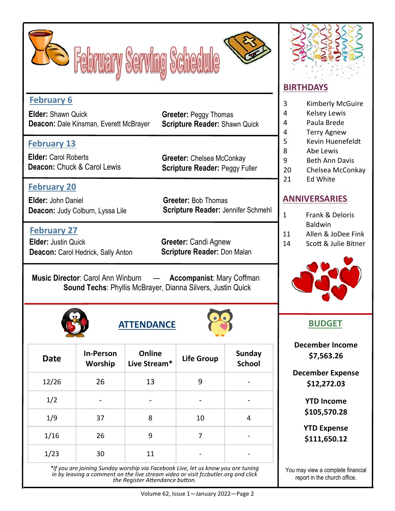



## **February 6**

**Elder:** Shawn Quick **Deacon:** Dale Kinsman, Everett McBrayer

## **February 13**

**Elder:** Carol Roberts **Deacon:** Chuck & Carol Lewis

**February 20**

**Elder:** John Daniel **Deacon:** Judy Colburn, Lyssa Lile

## **February 27**

**Elder:** Justin Quick **Deacon: Carol Hedrick, Sally Anton** 

**Scripture Reader:** Shawn Quick

**Greeter:** Peggy Thomas

**Greeter:** Chelsea McConkay **Scripture Reader: Peggy Fuller** 

**Greeter:** Bob Thomas **Scripture Reader:** Jennifer Schmehl

**Greeter:** Candi Agnew **Scripture Reader:** Don Malan

**Music Director**: Carol Ann Winburn — **Accompanist**: Mary Coffman **Sound Techs**: Phyllis McBrayer, Dianna Silvers, Justin Quick







| <b>Date</b> | <b>In-Person</b><br>Worship  | Online<br>Live Stream* | <b>Life Group</b> | <b>Sunday</b><br><b>School</b> |
|-------------|------------------------------|------------------------|-------------------|--------------------------------|
| 12/26       | 26                           | 13                     | 9                 |                                |
| 1/2         | $\qquad \qquad \blacksquare$ |                        | -                 | -                              |
| 1/9         | 37                           | 8                      | 10                | 4                              |
| 1/16        | 26                           | 9                      | 7                 |                                |
| 1/23        | 30                           | 11                     |                   |                                |

*\*If you are joining Sunday worship via Facebook Live, let us know you are tuning in by leaving a comment on the live stream video or visit fccbutler.org and click the Register Attendance button.* 

# **BIRTHDAYS**

3 Kimberly McGuire

- 4 Kelsey Lewis
- 4 Paula Brede
- 4 Terry Agnew
- 5 Kevin Huenefeldt
- 8 Abe Lewis
- 9 Beth Ann Davis
- 20 Chelsea McConkay
- 21 Ed White

## **ANNIVERSARIES**

| 1              | Frank & Deloris                                                                                       |  |  |  |
|----------------|-------------------------------------------------------------------------------------------------------|--|--|--|
|                | <b>Baldwin</b>                                                                                        |  |  |  |
| $\overline{A}$ | $\mathsf{A} \mathsf{B}$ . $\mathsf{A} \mathsf{B}$ . $\mathsf{A} \mathsf{B}$ . The set of $\mathsf{B}$ |  |  |  |

- 11 Allen & JoDee Fink
- 14 Scott & Julie Bitner



**December Income \$7,563.26**

**December Expense \$12,272.03**

> **YTD Income \$105,570.28**

> **YTD Expense \$111,650.12**

You may view a complete financial report in the church office.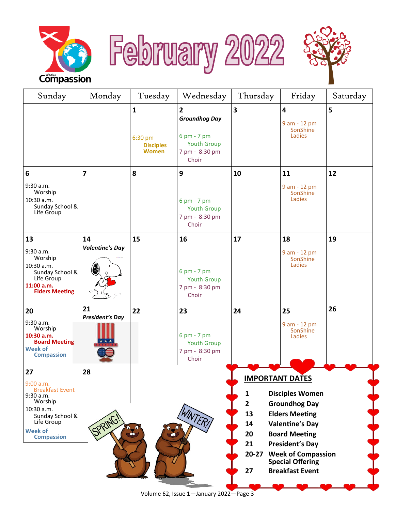





| Saturday                                                                                             |  |  |
|------------------------------------------------------------------------------------------------------|--|--|
|                                                                                                      |  |  |
|                                                                                                      |  |  |
|                                                                                                      |  |  |
|                                                                                                      |  |  |
|                                                                                                      |  |  |
|                                                                                                      |  |  |
|                                                                                                      |  |  |
|                                                                                                      |  |  |
|                                                                                                      |  |  |
|                                                                                                      |  |  |
|                                                                                                      |  |  |
| <b>VINTER!</b><br><b>Valentine's Day</b><br>$\frac{1}{2}$<br>$\bullet$<br>20<br><b>Board Meeting</b> |  |  |
| 21<br><b>President's Day</b><br>$20 - 27$<br><b>Week of Compassion</b><br><b>Special Offering</b>    |  |  |
|                                                                                                      |  |  |
|                                                                                                      |  |  |

Volume 62, Issue 1—January 2022—Page 3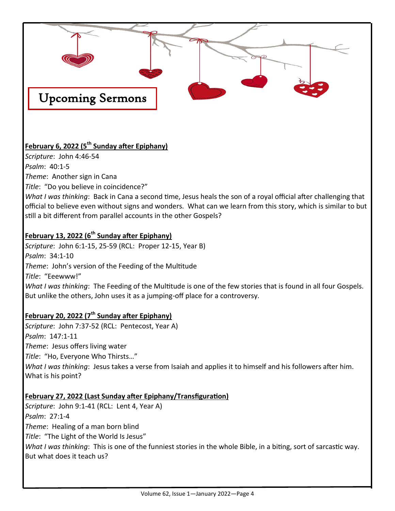

## **February 6, 2022 (5th Sunday after Epiphany)**

*Scripture*: John 4:46-54 *Psalm*: 40:1-5 *Theme*: Another sign in Cana *Title*: "Do you believe in coincidence?"

*What I was thinking*: Back in Cana a second time, Jesus heals the son of a royal official after challenging that official to believe even without signs and wonders. What can we learn from this story, which is similar to but still a bit different from parallel accounts in the other Gospels?

## **February 13, 2022 (6th Sunday after Epiphany)**

*Scripture*: John 6:1-15, 25-59 (RCL: Proper 12-15, Year B) *Psalm*: 34:1-10 *Theme*: John's version of the Feeding of the Multitude *Title*: "Eeewww!" *What I was thinking*: The Feeding of the Multitude is one of the few stories that is found in all four Gospels. But unlike the others, John uses it as a jumping-off place for a controversy.

## **February 20, 2022 (7th Sunday after Epiphany)**

*Scripture*: John 7:37-52 (RCL: Pentecost, Year A) *Psalm*: 147:1-11 *Theme*: Jesus offers living water *Title*: "Ho, Everyone Who Thirsts…" *What I was thinking*: Jesus takes a verse from Isaiah and applies it to himself and his followers after him. What is his point?

### **February 27, 2022 (Last Sunday after Epiphany/Transfiguration)**

*Scripture*: John 9:1-41 (RCL: Lent 4, Year A) *Psalm*: 27:1-4 *Theme*: Healing of a man born blind *Title*: "The Light of the World Is Jesus" *What I was thinking*: This is one of the funniest stories in the whole Bible, in a biting, sort of sarcastic way. But what does it teach us?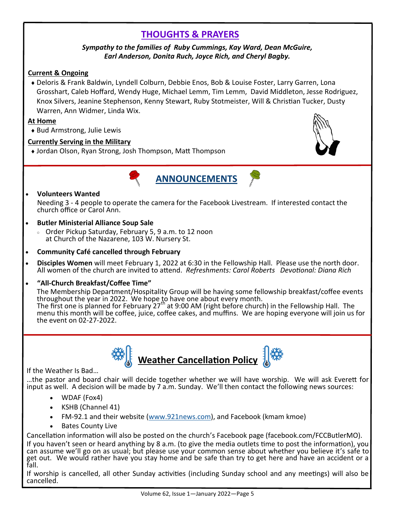# **THOUGHTS & PRAYERS**

#### *Sympathy to the families of Ruby Cummings, Kay Ward, Dean McGuire, Earl Anderson, Donita Ruch, Joyce Rich, and Cheryl Bagby.*

#### **Current & Ongoing**

 Deloris & Frank Baldwin, Lyndell Colburn, Debbie Enos, Bob & Louise Foster, Larry Garren, Lona Grosshart, Caleb Hoffard, Wendy Huge, Michael Lemm, Tim Lemm, David Middleton, Jesse Rodriguez, Knox Silvers, Jeanine Stephenson, Kenny Stewart, Ruby Stotmeister, Will & Christian Tucker, Dusty Warren, Ann Widmer, Linda Wix.

#### **At Home**

Bud Armstrong, Julie Lewis

#### **Currently Serving in the Military**

Jordan Olson, Ryan Strong, Josh Thompson, Matt Thompson





#### • **Volunteers Wanted**

Needing 3 - 4 people to operate the camera for the Facebook Livestream. If interested contact the church office or Carol Ann.

#### • **Butler Ministerial Alliance Soup Sale**

- Order Pickup Saturday, February 5, 9 a.m. to 12 noon at Church of the Nazarene, 103 W. Nursery St.
- **Community Café cancelled through February**
- **Disciples Women** will meet February 1, 2022 at 6:30 in the Fellowship Hall. Please use the north door. All women of the church are invited to attend. *Refreshments: Carol Roberts Devotional: Diana Rich*
- **"All-Church Breakfast/Coffee Time"**

The Membership Department/Hospitality Group will be having some fellowship breakfast/coffee events throughout the year in 2022. We hope to have one about every month.

The first one is planned for February 27th at 9:00 AM (right before church) in the Fellowship Hall. The menu this month will be coffee, juice, coffee cakes, and muffins. We are hoping everyone will join us for the event on 02-27-2022.





If the Weather Is Bad…

…the pastor and board chair will decide together whether we will have worship. We will ask Everett for input as well. A decision will be made by 7 a.m. Sunday. We'll then contact the following news sources:

- WDAF (Fox4)
- KSHB (Channel 41)
- FM-92.1 and their website ([www.921news.com\),](http://www.921news.com) and Facebook (kmam kmoe)
- Bates County Live

Cancellation information will also be posted on the church's Facebook page (facebook.com/FCCButlerMO). If you haven't seen or heard anything by 8 a.m. (to give the media outlets time to post the information), you can assume we'll go on as usual; but please use your common sense about whether you believe it's safe to get out. We would rather have you stay home and be safe than try to get here and have an accident or a fall.

If worship is cancelled, all other Sunday activities (including Sunday school and any meetings) will also be cancelled.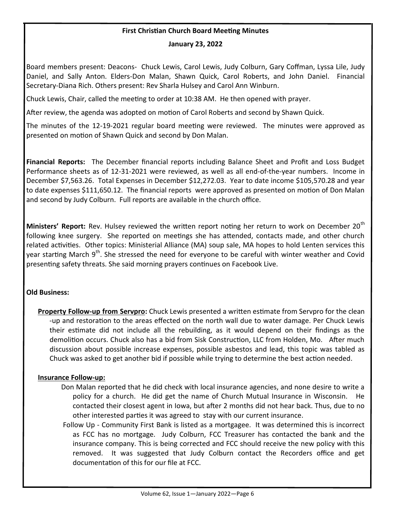#### **First Christian Church Board Meeting Minutes**

#### **January 23, 2022**

Board members present: Deacons- Chuck Lewis, Carol Lewis, Judy Colburn, Gary Coffman, Lyssa Lile, Judy Daniel, and Sally Anton. Elders-Don Malan, Shawn Quick, Carol Roberts, and John Daniel. Financial Secretary-Diana Rich. Others present: Rev Sharla Hulsey and Carol Ann Winburn.

Chuck Lewis, Chair, called the meeting to order at 10:38 AM. He then opened with prayer.

After review, the agenda was adopted on motion of Carol Roberts and second by Shawn Quick.

The minutes of the 12-19-2021 regular board meeting were reviewed. The minutes were approved as presented on motion of Shawn Quick and second by Don Malan.

**Financial Reports:** The December financial reports including Balance Sheet and Profit and Loss Budget Performance sheets as of 12-31-2021 were reviewed, as well as all end-of-the-year numbers. Income in December \$7,563.26. Total Expenses in December \$12,272.03. Year to date income \$105,570.28 and year to date expenses \$111,650.12. The financial reports were approved as presented on motion of Don Malan and second by Judy Colburn. Full reports are available in the church office.

**Ministers' Report:** Rev. Hulsey reviewed the written report noting her return to work on December 20<sup>th</sup> following knee surgery. She reported on meetings she has attended, contacts made, and other church related activities. Other topics: Ministerial Alliance (MA) soup sale, MA hopes to hold Lenten services this year starting March 9<sup>th</sup>. She stressed the need for everyone to be careful with winter weather and Covid presenting safety threats. She said morning prayers continues on Facebook Live.

#### **Old Business:**

**Property Follow-up from Servpro:** Chuck Lewis presented a written estimate from Servpro for the clean -up and restoration to the areas effected on the north wall due to water damage. Per Chuck Lewis their estimate did not include all the rebuilding, as it would depend on their findings as the demolition occurs. Chuck also has a bid from Sisk Construction, LLC from Holden, Mo. After much discussion about possible increase expenses, possible asbestos and lead, this topic was tabled as Chuck was asked to get another bid if possible while trying to determine the best action needed.

#### **Insurance Follow-up:**

- Don Malan reported that he did check with local insurance agencies, and none desire to write a policy for a church. He did get the name of Church Mutual Insurance in Wisconsin. He contacted their closest agent in Iowa, but after 2 months did not hear back. Thus, due to no other interested parties it was agreed to stay with our current insurance.
- Follow Up Community First Bank is listed as a mortgagee. It was determined this is incorrect as FCC has no mortgage. Judy Colburn, FCC Treasurer has contacted the bank and the insurance company. This is being corrected and FCC should receive the new policy with this removed. It was suggested that Judy Colburn contact the Recorders office and get documentation of this for our file at FCC.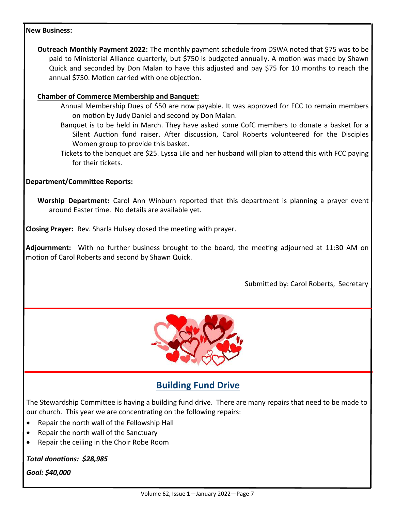#### **New Business:**

**Outreach Monthly Payment 2022:** The monthly payment schedule from DSWA noted that \$75 was to be paid to Ministerial Alliance quarterly, but \$750 is budgeted annually. A motion was made by Shawn Quick and seconded by Don Malan to have this adjusted and pay \$75 for 10 months to reach the annual \$750. Motion carried with one objection.

#### **Chamber of Commerce Membership and Banquet:**

- Annual Membership Dues of \$50 are now payable. It was approved for FCC to remain members on motion by Judy Daniel and second by Don Malan.
- Banquet is to be held in March. They have asked some CofC members to donate a basket for a Silent Auction fund raiser. After discussion, Carol Roberts volunteered for the Disciples Women group to provide this basket.
- Tickets to the banquet are \$25. Lyssa Lile and her husband will plan to attend this with FCC paying for their tickets.

#### **Department/Committee Reports:**

**Worship Department:** Carol Ann Winburn reported that this department is planning a prayer event around Easter time. No details are available yet.

**Closing Prayer:** Rev. Sharla Hulsey closed the meeting with prayer.

**Adjournment:** With no further business brought to the board, the meeting adjourned at 11:30 AM on motion of Carol Roberts and second by Shawn Quick.

Submitted by: Carol Roberts, Secretary



# **Building Fund Drive**

The Stewardship Committee is having a building fund drive. There are many repairs that need to be made to our church. This year we are concentrating on the following repairs:

- Repair the north wall of the Fellowship Hall
- Repair the north wall of the Sanctuary
- Repair the ceiling in the Choir Robe Room

*Total donations: \$28,985*

*Goal: \$40,000*